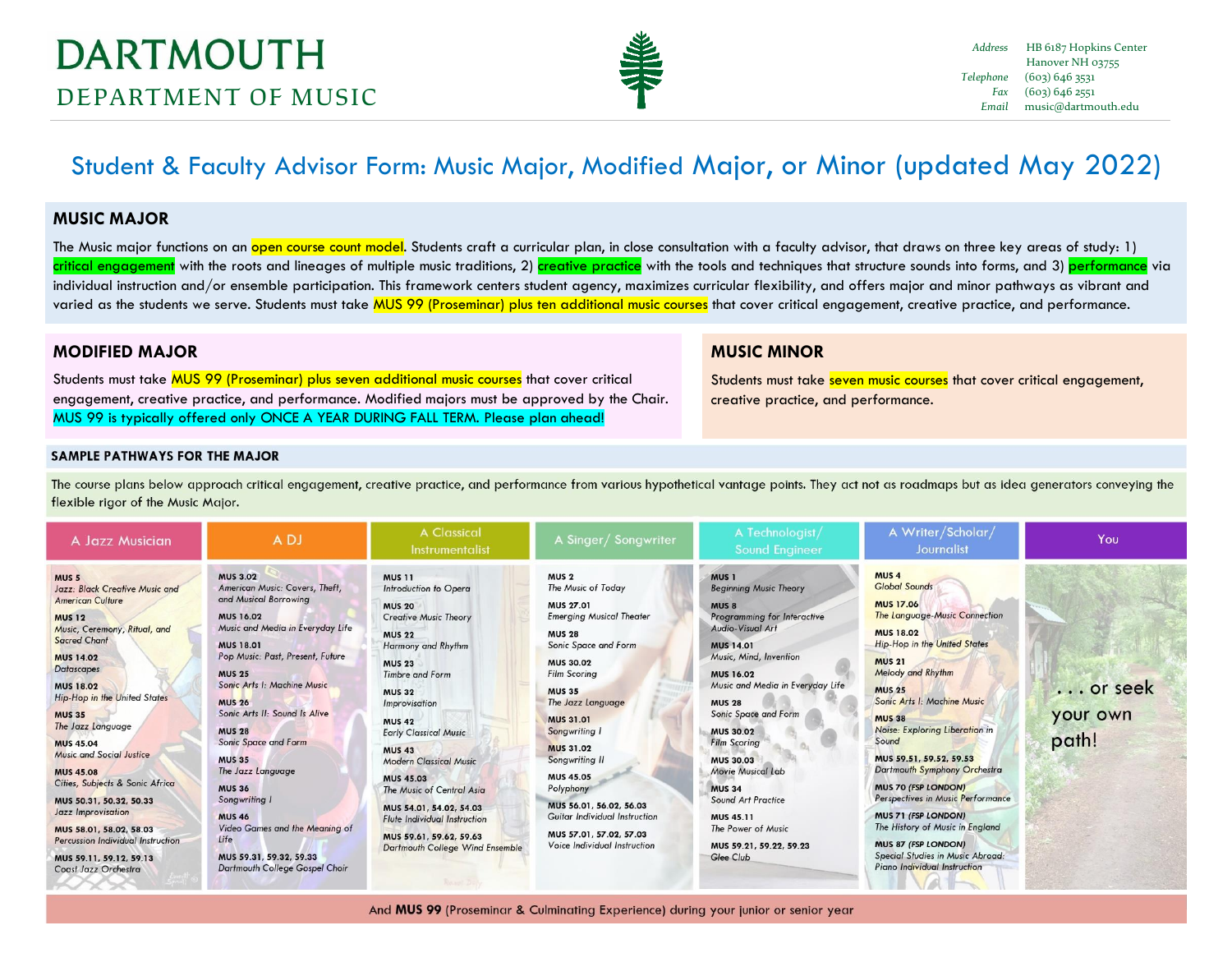

# Student & Faculty Advisor Form: Music Major, Modified Major, or Minor (updated May 2022)

#### **MUSIC MAJOR**

The Music major functions on an <mark>open course count model</mark>. Students craft a curricular plan, in close consultation with a faculty advisor, that draws on three key areas of study: 1) critical engagement with the roots and lineages of multiple music traditions, 2) creative practice with the tools and techniques that structure sounds into forms, and 3) performance via individual instruction and/or ensemble participation. This framework centers student agency, maximizes curricular flexibility, and offers major and minor pathways as vibrant and varied as the students we serve. Students must take MUS 99 (Proseminar) plus ten additional music courses that cover critical engagement, creative practice, and performance.

## **MODIFIED MAJOR**

Students must take MUS 99 (Proseminar) plus seven additional music courses that cover critical engagement, creative practice, and performance. Modified majors must be approved by the Chair. MUS 99 is typically offered only ONCE A YEAR DURING FALL TERM. Please plan ahead!

## **MUSIC MINOR**

Students must take seven music courses that cover critical engagement, creative practice, and performance.

#### **SAMPLE PATHWAYS FOR THE MAJOR**

The course plans below approach critical engagement, creative practice, and performance from various hypothetical vantage points. They act not as roadmaps but as idea generators conveying the flexible rigor of the Music Major.

| A Jazz Musician                                                                                                                                                                                                                                                                                                                                                                                                                                                                                                                                                                          | A DJ                                                                                                                                                                                                                                                                                                                                                                                                                                                                                                                                         | <b>A Classical</b><br>Instrumentalist                                                                                                                                                                                                                                                                                                                                                                                                                                                                  | A Singer/Songwriter                                                                                                                                                                                                                                                                                                                                                                                                                                             | A Technologist/<br><b>Sound Engineer</b>                                                                                                                                                                                                                                                                                                                                                                                                                                                    | A Writer/Scholar/<br>Journalist                                                                                                                                                                                                                                                                                                                                                                                                                                                                                                                                                                             | You                          |
|------------------------------------------------------------------------------------------------------------------------------------------------------------------------------------------------------------------------------------------------------------------------------------------------------------------------------------------------------------------------------------------------------------------------------------------------------------------------------------------------------------------------------------------------------------------------------------------|----------------------------------------------------------------------------------------------------------------------------------------------------------------------------------------------------------------------------------------------------------------------------------------------------------------------------------------------------------------------------------------------------------------------------------------------------------------------------------------------------------------------------------------------|--------------------------------------------------------------------------------------------------------------------------------------------------------------------------------------------------------------------------------------------------------------------------------------------------------------------------------------------------------------------------------------------------------------------------------------------------------------------------------------------------------|-----------------------------------------------------------------------------------------------------------------------------------------------------------------------------------------------------------------------------------------------------------------------------------------------------------------------------------------------------------------------------------------------------------------------------------------------------------------|---------------------------------------------------------------------------------------------------------------------------------------------------------------------------------------------------------------------------------------------------------------------------------------------------------------------------------------------------------------------------------------------------------------------------------------------------------------------------------------------|-------------------------------------------------------------------------------------------------------------------------------------------------------------------------------------------------------------------------------------------------------------------------------------------------------------------------------------------------------------------------------------------------------------------------------------------------------------------------------------------------------------------------------------------------------------------------------------------------------------|------------------------------|
| MUS <sub>5</sub><br>Jazz: Black Creative Music and<br><b>American Culture</b><br><b>MUS 12</b><br>Music, Ceremony, Ritual, and<br><b>Sacred Chant</b><br><b>MUS 14.02</b><br><b>Datascapes</b><br><b>MUS 18.02</b><br><b>Hip-Hop in the United States</b><br><b>MUS 35</b><br>The Jazz Language<br><b>MUS 45.04</b><br><b>Music and Social Justice</b><br><b>MUS 45.08</b><br>Cities, Subjects & Sonic Africa<br>MUS 50.31, 50.32, 50.33<br>Jazz Improvisation<br>MUS 58.01, 58.02, 58.03<br><b>Percussion Individual Instruction</b><br>MUS 59.11, 59.12, 59.13<br>Coast Jazz Orchestra | <b>MUS 3.02</b><br>American Music: Covers, Theft,<br>and Musical Borrowing<br><b>MUS 16.02</b><br>Music and Media in Everyday Life<br><b>MUS 18.01</b><br>Pop Music: Past, Present, Future<br><b>MUS 25</b><br>Sonic Arts I: Machine Music<br><b>MUS 26</b><br>Sonic Arts II: Sound Is Alive<br><b>MUS 28</b><br>Sonic Space and Form<br><b>MUS 35</b><br>The Jazz Language<br><b>MUS 36</b><br>Songwriting I<br><b>MUS 46</b><br>Video Games and the Meaning of<br>Life<br>MUS 59.31, 59.32, 59.33<br><b>Dartmouth College Gospel Choir</b> | <b>MUS 11</b><br>Introduction to Opera<br><b>MUS 20</b><br><b>Creative Music Theory</b><br><b>MUS 22</b><br>Harmony and Rhythm<br><b>MUS 23</b><br><b>Timbre and Form</b><br><b>MUS 32</b><br>Improvisation<br><b>MUS 42</b><br><b>Early Classical Music</b><br><b>MUS 43</b><br><b>Modern Classical Music</b><br><b>MUS 45.03</b><br>The Music of Central Asia<br>MUS 54.01, 54.02, 54.03<br><b>Flute Individual Instruction</b><br>MUS 59.61, 59.62, 59.63<br><b>Dartmouth College Wind Ensemble</b> | MUS <sub>2</sub><br>The Music of Today<br><b>MUS 27.01</b><br><b>Emerging Musical Theater</b><br><b>MUS 28</b><br>Sonic Space and Form<br><b>MUS 30.02</b><br><b>Film Scoring</b><br><b>MUS 35</b><br>The Jazz Language<br><b>MUS 31.01</b><br>Songwriting<br><b>MUS 31.02</b><br>Songwriting II<br><b>MUS 45.05</b><br>Polyphony<br>MUS 56.01, 56.02, 56.03<br><b>Guitar Individual Instruction</b><br>MUS 57.01, 57.02, 57.03<br>Voice Individual Instruction | MUS <sub>1</sub><br><b>Beginning Music Theory</b><br>MUS <sub>8</sub><br>Programming for Interactive<br><b>Audio-Visual Art</b><br><b>MUS 14.01</b><br>Music, Mind, Invention<br><b>MUS 16.02</b><br>Music and Media in Everyday Life<br><b>MUS 28</b><br>Sonic Space and Form<br><b>MUS 30.02</b><br><b>Film Scoring</b><br><b>MUS 30.03</b><br><b>Movie Musical Lab</b><br><b>MUS 34</b><br>Sound Art Practice<br>MUS 45.11<br>The Power of Music<br>MUS 59.21, 59.22, 59.23<br>Glee Club | MUS <sub>4</sub><br><b>Global Sounds</b><br><b>MUS 17.06</b><br><b>The Language-Music Connection</b><br><b>MUS 18.02</b><br><b>Hip-Hop in the United States</b><br><b>MUS 21</b><br><b>Melody and Rhythm</b><br><b>MUS 25</b><br>Sonic Arts I: Machine Music<br><b>MUS 38</b><br>Noise: Exploring Liberation in<br>Sound<br>MUS 59.51, 59.52, 59.53<br>Dartmouth Symphony Orchestra<br>MUS 70 (FSP LONDON)<br><b>Perspectives in Music Performance</b><br>MUS 71 (FSP LONDON)<br>The History of Music in England<br>MUS 87 (FSP LONDON)<br>Special Studies in Music Abroad:<br>Piano Individual Instruction | or seek<br>your own<br>path! |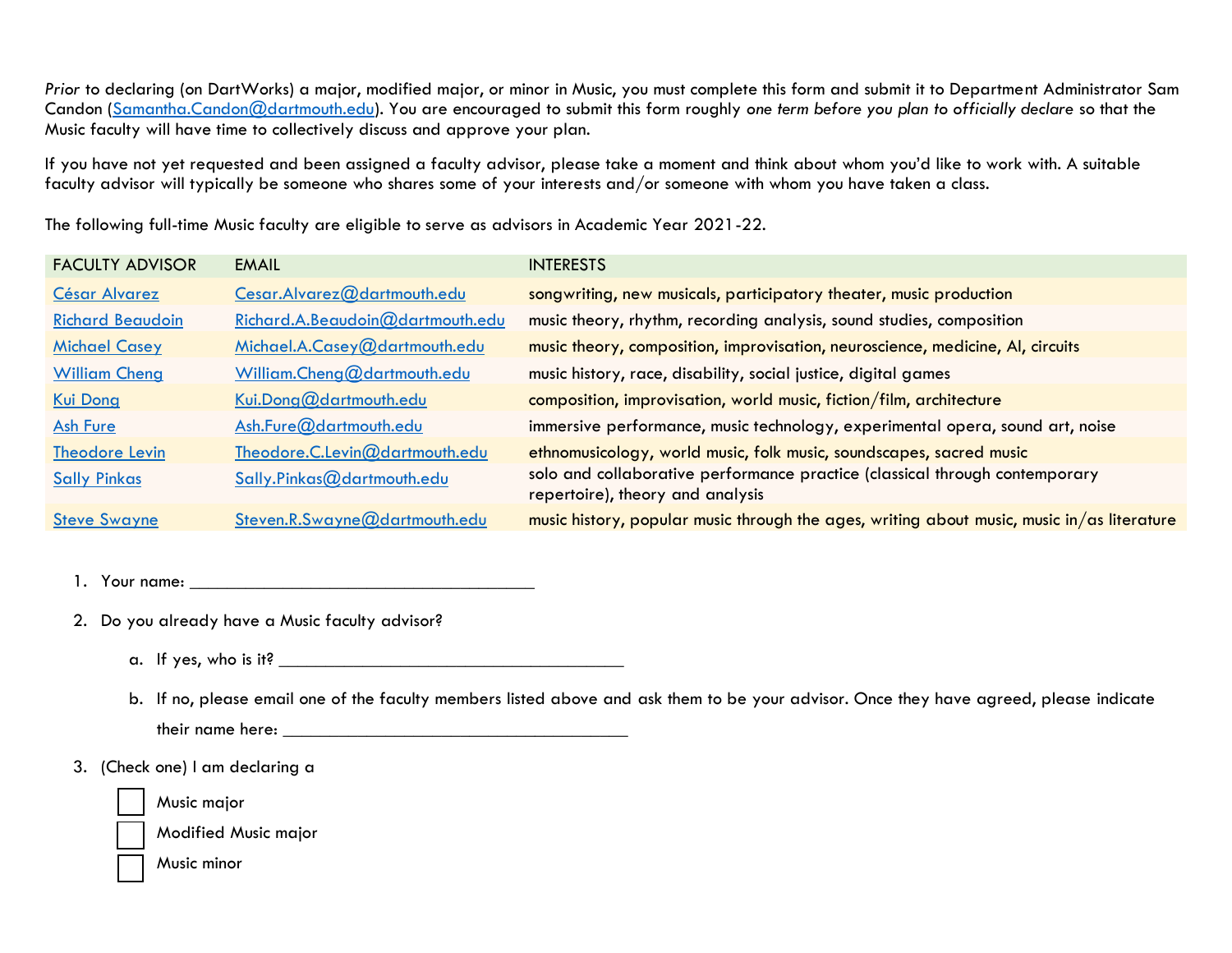*Prior* to declaring (on DartWorks) a major, modified major, or minor in Music, you must complete this form and submit it to Department Administrator Sam Candon [\(Samantha.Candon@dartmouth.edu\)](mailto:Samantha.Candon@dartmouth.edu). You are encouraged to submit this form roughly *one term before you plan to officially declare* so that the Music faculty will have time to collectively discuss and approve your plan.

If you have not yet requested and been assigned a faculty advisor, please take a moment and think about whom you'd like to work with. A suitable faculty advisor will typically be someone who shares some of your interests and/or someone with whom you have taken a class.

The following full-time Music faculty are eligible to serve as advisors in Academic Year 2021-22.

| <b>EMAIL</b>                     | <b>INTERESTS</b>                                                                           |
|----------------------------------|--------------------------------------------------------------------------------------------|
| Cesar.Alvarez@dartmouth.edu      | songwriting, new musicals, participatory theater, music production                         |
| Richard.A.Beaudoin@dartmouth.edu | music theory, rhythm, recording analysis, sound studies, composition                       |
| Michael.A.Casey@dartmouth.edu    | music theory, composition, improvisation, neuroscience, medicine, AI, circuits             |
| William.Cheng@dartmouth.edu      | music history, race, disability, social justice, digital games                             |
| Kui.Dong@dartmouth.edu           | composition, improvisation, world music, fiction/film, architecture                        |
| Ash.Fure@dartmouth.edu           | immersive performance, music technology, experimental opera, sound art, noise              |
| Theodore.C.Levin@dartmouth.edu   | ethnomusicology, world music, folk music, soundscapes, sacred music                        |
| Sally.Pinkas@dartmouth.edu       | solo and collaborative performance practice (classical through contemporary                |
|                                  | repertoire), theory and analysis                                                           |
| Steven.R.Swayne@dartmouth.edu    | music history, popular music through the ages, writing about music, music in/as literature |
|                                  |                                                                                            |

1. Your name: \_\_\_\_\_\_\_\_\_\_\_\_\_\_\_\_\_\_\_\_\_\_\_\_\_\_\_\_\_\_\_\_\_\_\_\_\_

2. Do you already have a Music faculty advisor?

- a. If yes, who is it?
- b. If no, please email one of the faculty members listed above and ask them to be your advisor. Once they have agreed, please indicate their name here: \_\_\_\_\_\_\_\_\_\_\_\_\_\_\_\_\_\_\_\_\_\_\_\_\_\_\_\_\_\_\_\_\_\_\_\_\_

3. (Check one) I am declaring a

Music major

Modified Music major

Music minor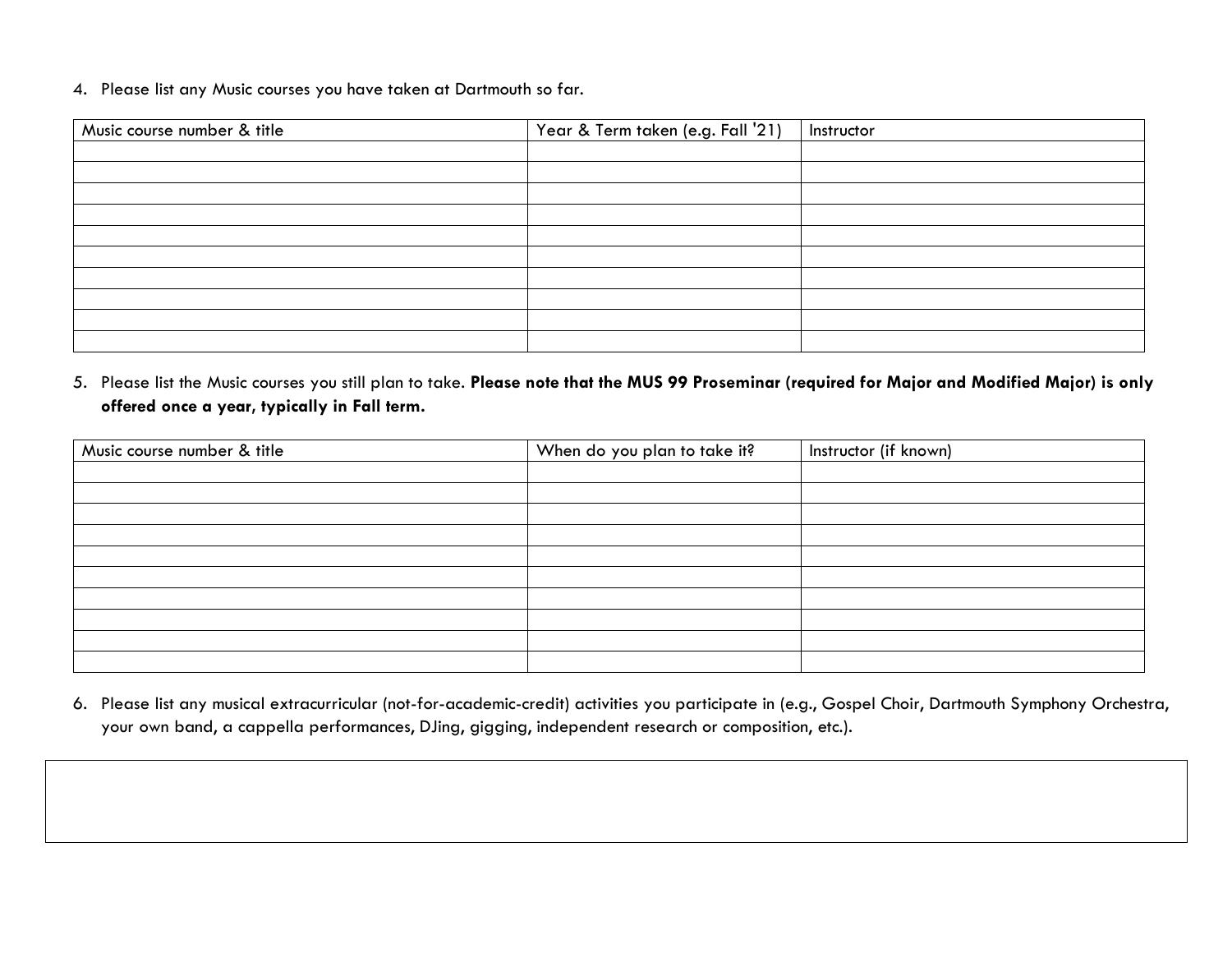4. Please list any Music courses you have taken at Dartmouth so far.

| Music course number & title | Year & Term taken (e.g. Fall '21) | Instructor |
|-----------------------------|-----------------------------------|------------|
|                             |                                   |            |
|                             |                                   |            |
|                             |                                   |            |
|                             |                                   |            |
|                             |                                   |            |
|                             |                                   |            |
|                             |                                   |            |
|                             |                                   |            |
|                             |                                   |            |
|                             |                                   |            |

5. Please list the Music courses you still plan to take. **Please note that the MUS 99 Proseminar (required for Major and Modified Major) is only offered once a year, typically in Fall term.** 

| Music course number & title | When do you plan to take it? | Instructor (if known) |
|-----------------------------|------------------------------|-----------------------|
|                             |                              |                       |
|                             |                              |                       |
|                             |                              |                       |
|                             |                              |                       |
|                             |                              |                       |
|                             |                              |                       |
|                             |                              |                       |
|                             |                              |                       |
|                             |                              |                       |
|                             |                              |                       |

6. Please list any musical extracurricular (not-for-academic-credit) activities you participate in (e.g., Gospel Choir, Dartmouth Symphony Orchestra, your own band, a cappella performances, DJing, gigging, independent research or composition, etc.).